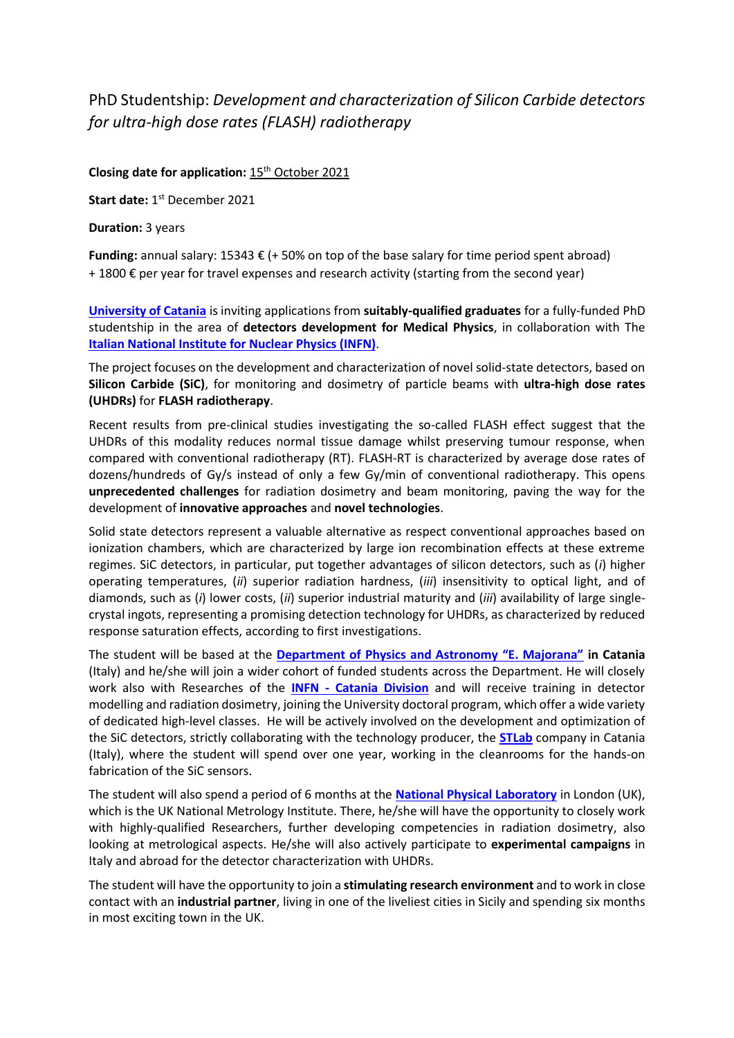## PhD Studentship: *Development and characterization of Silicon Carbide detectors for ultra-high dose rates (FLASH) radiotherapy*

## **Closing date for application:** 15th October 2021

Start date: 1<sup>st</sup> December 2021

**Duration:** 3 years

**Funding:** annual salary: 15343 € (+ 50% on top of the base salary for time period spent abroad)  $+ 1800 \text{ E}$  per year for travel expenses and research activity (starting from the second year)

**[University of Catania](https://www.unict.it/)** is inviting applications from **suitably-qualified graduates** for a fully-funded PhD studentship in the area of **detectors development for Medical Physics**, in collaboration with The **[Italian National Institute for Nuclear Physics](https://home.infn.it/it/) (INFN)**.

The project focuses on the development and characterization of novel solid-state detectors, based on **Silicon Carbide (SiC)**, for monitoring and dosimetry of particle beams with **ultra-high dose rates (UHDRs)** for **FLASH radiotherapy**.

Recent results from pre-clinical studies investigating the so-called FLASH effect suggest that the UHDRs of this modality reduces normal tissue damage whilst preserving tumour response, when compared with conventional radiotherapy (RT). FLASH-RT is characterized by average dose rates of dozens/hundreds of Gy/s instead of only a few Gy/min of conventional radiotherapy. This opens **unprecedented challenges** for radiation dosimetry and beam monitoring, paving the way for the development of **innovative approaches** and **novel technologies**.

Solid state detectors represent a valuable alternative as respect conventional approaches based on ionization chambers, which are characterized by large ion recombination effects at these extreme regimes. SiC detectors, in particular, put together advantages of silicon detectors, such as (*i*) higher operating temperatures, (*ii*) superior radiation hardness, (*iii*) insensitivity to optical light, and of diamonds, such as (*i*) lower costs, (*ii*) superior industrial maturity and (*iii*) availability of large singlecrystal ingots, representing a promising detection technology for UHDRs, as characterized by reduced response saturation effects, according to first investigations.

The student will be based at the **[Department of Physics and Astronomy "E. Majorana"](https://www.dfa.unict.it/) in Catania** (Italy) and he/she will join a wider cohort of funded students across the Department. He will closely work also with Researches of the **INFN - [Catania Division](https://www.ct.infn.it/it/)** and will receive training in detector modelling and radiation dosimetry, joining the University doctoral program, which offer a wide variety of dedicated high-level classes. He will be actively involved on the development and optimization of the SiC detectors, strictly collaborating with the technology producer, the **[STLab](https://www.stlab.eu/)** company in Catania (Italy), where the student will spend over one year, working in the cleanrooms for the hands-on fabrication of the SiC sensors.

The student will also spend a period of 6 months at the **[National Physical Laboratory](https://www.npl.co.uk/)** in London (UK), which is the UK National Metrology Institute. There, he/she will have the opportunity to closely work with highly-qualified Researchers, further developing competencies in radiation dosimetry, also looking at metrological aspects. He/she will also actively participate to **experimental campaigns** in Italy and abroad for the detector characterization with UHDRs.

The student will have the opportunity to join a **stimulating research environment** and to work in close contact with an **industrial partner**, living in one of the liveliest cities in Sicily and spending six months in most exciting town in the UK.